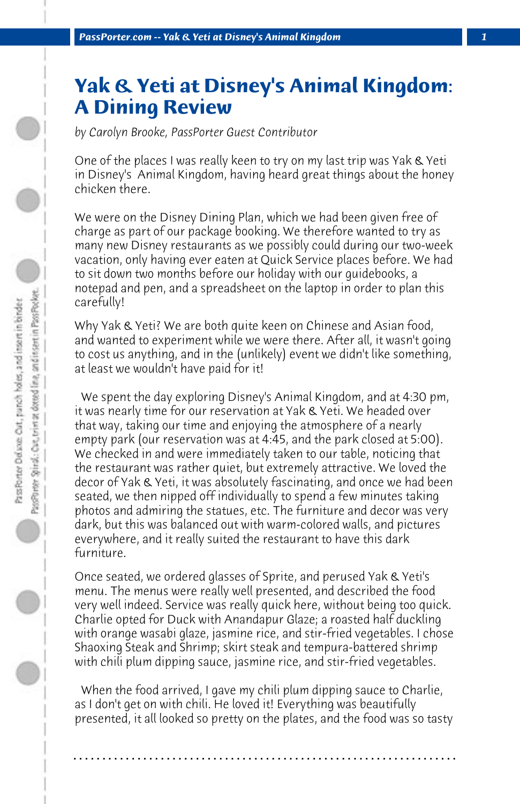## **Yak & Yeti at Disney's Animal Kingdom: A Dining Review**

*by Carolyn Brooke, PassPorter Guest Contributor*

One of the places I was really keen to try on my last trip was Yak & Yeti in Disney's Animal Kingdom, having heard great things about the honey chicken there.

We were on the Disney Dining Plan, which we had been given free of charge as part of our package booking. We therefore wanted to try as many new Disney restaurants as we possibly could during our two-week vacation, only having ever eaten at Quick Service places before. We had to sit down two months before our holiday with our guidebooks, a notepad and pen, and a spreadsheet on the laptop in order to plan this carefully!

Why Yak & Yeti? We are both quite keen on Chinese and Asian food, and wanted to experiment while we were there. After all, it wasn't going to cost us anything, and in the (unlikely) event we didn't like something, at least we wouldn't have paid for it!

 We spent the day exploring Disney's Animal Kingdom, and at 4:30 pm, it was nearly time for our reservation at Yak & Yeti. We headed over that way, taking our time and enjoying the atmosphere of a nearly empty park (our reservation was at 4:45, and the park closed at 5:00). We checked in and were immediately taken to our table, noticing that the restaurant was rather quiet, but extremely attractive. We loved the decor of Yak & Yeti, it was absolutely fascinating, and once we had been seated, we then nipped off individually to spend a few minutes taking photos and admiring the statues, etc. The furniture and decor was very dark, but this was balanced out with warm-colored walls, and pictures everywhere, and it really suited the restaurant to have this dark furniture.

Once seated, we ordered glasses of Sprite, and perused Yak & Yeti's menu. The menus were really well presented, and described the food very well indeed. Service was really quick here, without being too quick. Charlie opted for Duck with Anandapur Glaze; a roasted half duckling with orange wasabi glaze, jasmine rice, and stir-fried vegetables. I chose Shaoxing Steak and Shrimp; skirt steak and tempura-battered shrimp with chili plum dipping sauce, jasmine rice, and stir-fried vegetables.

 When the food arrived, I gave my chili plum dipping sauce to Charlie, as I don't get on with chili. He loved it! Everything was beautifully presented, it all looked so pretty on the plates, and the food was so tasty

**. . . . . . . . . . . . . . . . . . . . . . . . . . . . . . . . . . . . . . . . . . . . . . . . . . . . . . . . . . . . . . . . . .**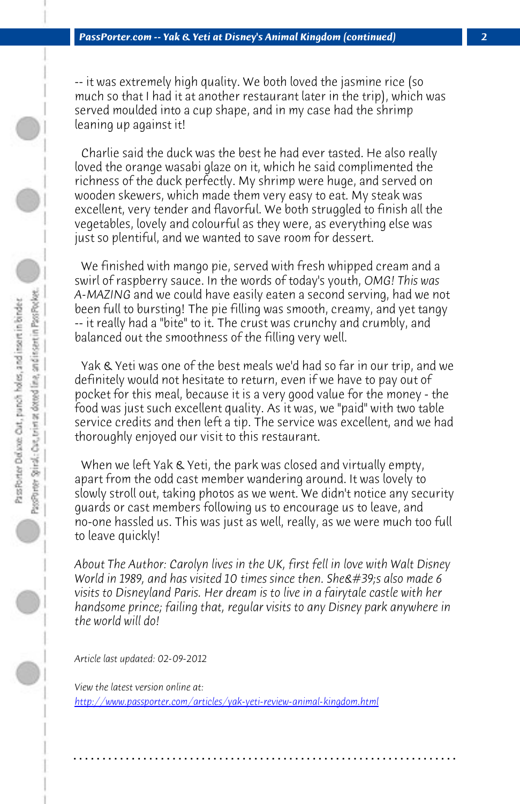*PassPorter.com -- Yak & Yeti at Disney's Animal Kingdom (continued) 2*

-- it was extremely high quality. We both loved the jasmine rice (so much so that I had it at another restaurant later in the trip), which was served moulded into a cup shape, and in my case had the shrimp leaning up against it!

 Charlie said the duck was the best he had ever tasted. He also really loved the orange wasabi glaze on it, which he said complimented the richness of the duck perfectly. My shrimp were huge, and served on wooden skewers, which made them very easy to eat. My steak was excellent, very tender and flavorful. We both struggled to finish all the vegetables, lovely and colourful as they were, as everything else was just so plentiful, and we wanted to save room for dessert.

 We finished with mango pie, served with fresh whipped cream and a swirl of raspberry sauce. In the words of today's youth, *OMG! This was A-MAZING* and we could have easily eaten a second serving, had we not been full to bursting! The pie filling was smooth, creamy, and yet tangy -- it really had a "bite" to it. The crust was crunchy and crumbly, and balanced out the smoothness of the filling very well.

Yak & Yeti was one of the best meals we'd had so far in our trip, and we definitely would not hesitate to return, even if we have to pay out of pocket for this meal, because it is a very good value for the money - the food was just such excellent quality. As it was, we "paid" with two table service credits and then left a tip. The service was excellent, and we had thoroughly enjoyed our visit to this restaurant.

 [When we left Yak & Yeti, the park was closed and virtuall](http://www.passporter.com/articles/yak-yeti-review-animal-kingdom.php)y empty, apart from the odd cast member wandering around. It was lovely to slowly stroll out, taking photos as we went. We didn't notice any security guards or cast members following us to encourage us to leave, and no-one hassled us. This was just as well, really, as we were much too full to leave quickly!

*About The Author: Carolyn lives in the UK, first fell in love with Walt Disney World in 1989, and has visited 10 times since then. She & #39;s also made 6 visits to Disneyland Paris. Her dream is to live in a fairytale castle with her handsome prince; failing that, regular visits to any Disney park anywhere in the world will do!*

**. . . . . . . . . . . . . . . . . . . . . . . . . . . . . . . . . . . . . . . . . . . . . . . . . . . . . . . . . . . . . . . . . .**

*Article last updated: 02-09-2012*

*View the latest version online at: http://www.passporter.com/articles/yak-yeti-review-animal-kingdom.html*